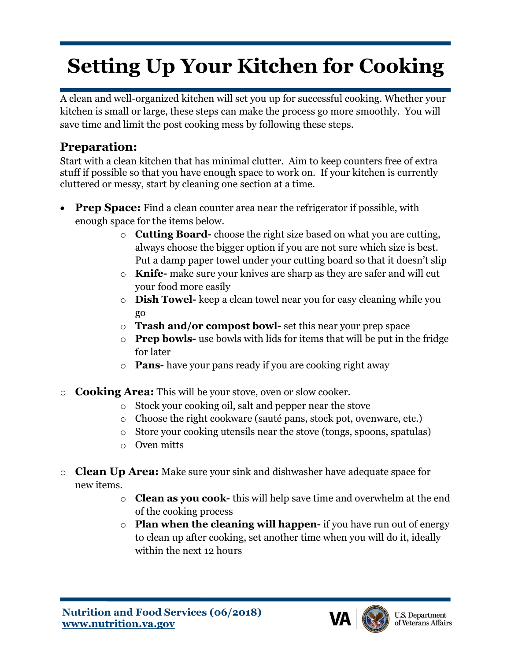## **Setting Up Your Kitchen for Cooking**

A clean and well-organized kitchen will set you up for successful cooking. Whether your kitchen is small or large, these steps can make the process go more smoothly. You will save time and limit the post cooking mess by following these steps.

## **Preparation:**

Start with a clean kitchen that has minimal clutter. Aim to keep counters free of extra stuff if possible so that you have enough space to work on. If your kitchen is currently cluttered or messy, start by cleaning one section at a time.

- **Prep Space:** Find a clean counter area near the refrigerator if possible, with enough space for the items below.
	- o **Cutting Board-** choose the right size based on what you are cutting, always choose the bigger option if you are not sure which size is best. Put a damp paper towel under your cutting board so that it doesn't slip
	- o **Knife-** make sure your knives are sharp as they are safer and will cut your food more easily
	- o **Dish Towel-** keep a clean towel near you for easy cleaning while you go
	- o **Trash and/or compost bowl-** set this near your prep space
	- o **Prep bowls-** use bowls with lids for items that will be put in the fridge for later
	- o **Pans-** have your pans ready if you are cooking right away
- o **Cooking Area:** This will be your stove, oven or slow cooker.
	- o Stock your cooking oil, salt and pepper near the stove
	- o Choose the right cookware (sauté pans, stock pot, ovenware, etc.)
	- o Store your cooking utensils near the stove (tongs, spoons, spatulas)
	- o Oven mitts
- o **Clean Up Area:** Make sure your sink and dishwasher have adequate space for new items.
	- o **Clean as you cook-** this will help save time and overwhelm at the end of the cooking process
	- o **Plan when the cleaning will happen-** if you have run out of energy to clean up after cooking, set another time when you will do it, ideally within the next 12 hours